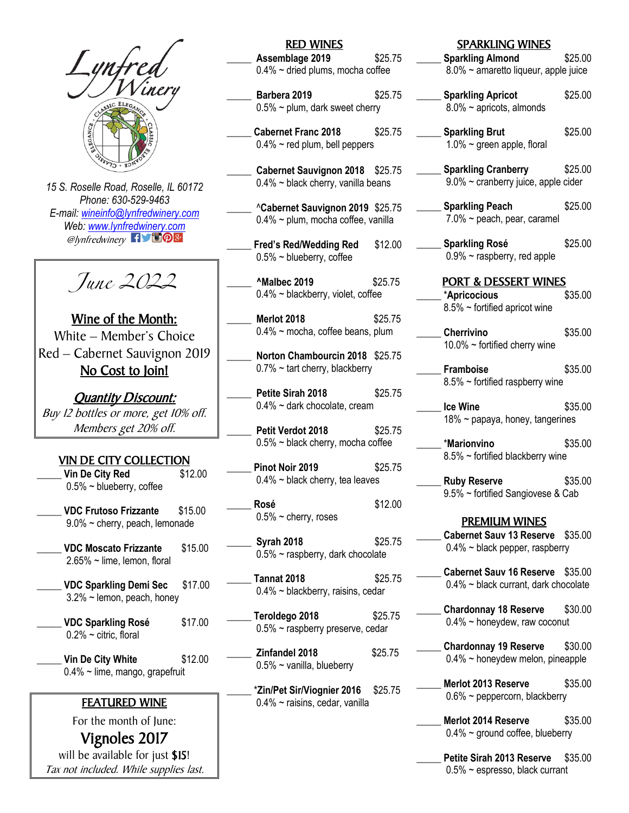

*15 S. Roselle Road, Roselle, IL 60172 Phone: 630-529-9463 E-mail: [wineinfo@lynfredwinery.com](mailto:wineinfo@lynfredwinery.com) Web[: www.lynfredwinery.com](http://www.lynfredwinery.com/)*  $\mathcal{O}$ lynfredwinery  $\blacksquare$ 

June 2022

Wine of the Month: White – Member's Choice Red – Cabernet Sauvignon 2019 No Cost to Join!

Quantity Discount: Buy 12 bottles or more, get 10% off. Members get 20% off.

# VIN DE CITY COLLECTION

\_\_\_\_\_ **Vin De City Red** \$12.00  $0.5\%$  ~ blueberry, coffee

\_\_\_\_\_ **VDC Frutoso Frizzante** \$15.00 9.0% ~ cherry, peach, lemonade

\_\_\_\_\_ **VDC Moscato Frizzante** \$15.00 2.65% ~ lime, lemon, floral

\_\_\_\_\_ **VDC Sparkling Demi Sec** \$17.00 3.2% ~ lemon, peach, honey

\_\_\_\_\_ **VDC Sparkling Rosé** \$17.00  $0.2\%$  ~ citric, floral

\_\_\_\_\_ **Vin De City White** \$12.00 0.4% ~ lime, mango, grapefruit

## FEATURED WINE

For the month of June:

Vignoles 2017 will be available for just \$15! Tax not included. While supplies last.

# RED WINES

\_\_\_\_\_ **Assemblage 2019** \$25.75 0.4% ~ dried plums, mocha coffee

\_\_\_\_\_ **Barbera 2019** \$25.75  $0.5\%$  ~ plum, dark sweet cherry

\_\_\_\_\_ **Cabernet Franc 2018** \$25.75  $0.4\%$  ~ red plum, bell peppers

\_\_\_\_\_ **Cabernet Sauvignon 2018** \$25.75  $0.4\%$  ~ black cherry, vanilla beans

\_\_\_\_\_ ^**Cabernet Sauvignon 2019** \$25.75 0.4% ~ plum, mocha coffee, vanilla

\_\_\_\_\_ **Fred's Red/Wedding Red** \$12.00  $0.5\%$  ~ blueberry, coffee

\_\_\_\_\_ **^Malbec 2019** \$25.75 0.4% ~ blackberry, violet, coffee

**Merlot 2018** \$25.75 0.4% ~ mocha, coffee beans, plum

\_\_\_\_\_ **Norton Chambourcin 2018** \$25.75  $0.7\% \sim$  tart cherry, blackberry

**Petite Sirah 2018** \$25.75  $0.4\%$  ~ dark chocolate, cream

\_\_\_\_\_ **Petit Verdot 2018** \$25.75 0.5% ~ black cherry, mocha coffee

**Pinot Noir 2019** \$25.75 0.4% ~ black cherry, tea leaves

\_\_\_\_\_ **Rosé** \$12.00  $0.5\%$  ~ cherry, roses

\_\_\_\_\_ **Syrah 2018** \$25.75 0.5% ~ raspberry, dark chocolate

\_\_\_\_\_ **Tannat 2018** \$25.75 0.4% ~ blackberry, raisins, cedar

\_\_\_\_\_ **Teroldego 2018** \$25.75 0.5% ~ raspberry preserve, cedar

\_\_\_\_\_ **Zinfandel 2018** \$25.75 0.5% ~ vanilla, blueberry

\_\_\_\_\_ \***Zin/Pet Sir/Viognier 2016** \$25.75 0.4% ~ raisins, cedar, vanilla

#### SPARKLING WINES

\_\_\_\_\_ **Sparkling Almond** \$25.00 8.0% ~ amaretto liqueur, apple juice

- \_\_\_\_\_ **Sparkling Apricot** \$25.00 8.0% ~ apricots, almonds
- \_\_\_\_\_ **Sparkling Brut** \$25.00  $1.0\%$  ~ green apple, floral
- \_\_\_\_\_ **Sparkling Cranberry** \$25.00 9.0% ~ cranberry juice, apple cider
- \_\_\_\_\_ **Sparkling Peach** \$25.00 7.0% ~ peach, pear, caramel
- \_\_\_\_\_ **Sparkling Rosé** \$25.00 0.9% ~ raspberry, red apple

### PORT & DESSERT WINES

- \_\_\_\_\_ \***Apricocious** \$35.00 8.5% ~ fortified apricot wine
- \_\_\_\_\_ **Cherrivino** \$35.00 10.0% ~ fortified cherry wine
- \_\_\_\_\_ **Framboise** \$35.00 8.5% ~ fortified raspberry wine
- **Ice Wine** \$35.00 18% ~ papaya, honey, tangerines
	- \_\_\_\_\_ \***Marionvino** \$35.00 8.5% ~ fortified blackberry wine
- \_\_\_\_\_ **Ruby Reserve** \$35.00 9.5% ~ fortified Sangiovese & Cab

### PREMIUM WINES

- \_\_\_\_\_ **Cabernet Sauv 13 Reserve** \$35.00 0.4% ~ black pepper, raspberry
- \_\_\_\_\_ **Cabernet Sauv 16 Reserve** \$35.00 0.4% ~ black currant, dark chocolate
- \_\_\_\_\_ **Chardonnay 18 Reserve** \$30.00 0.4% ~ honeydew, raw coconut
- \_\_\_\_\_ **Chardonnay 19 Reserve** \$30.00 0.4% ~ honeydew melon, pineapple
- \_\_\_\_\_ **Merlot 2013 Reserve** \$35.00  $0.6\%$  ~ peppercorn, blackberry
- \_\_\_\_\_ **Merlot 2014 Reserve** \$35.00 0.4% ~ ground coffee, blueberry

\_\_\_\_\_ **Petite Sirah 2013 Reserve** \$35.00 0.5% ~ espresso, black currant